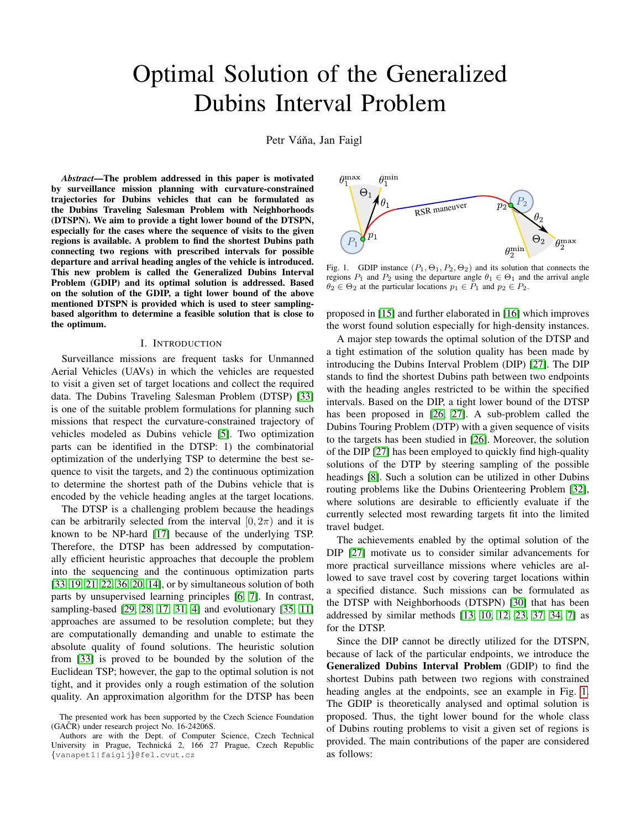# Optimal Solution of the Generalized Dubins Interval Problem

Petr Váňa, Jan Faigl

*Abstract*—The problem addressed in this paper is motivated by surveillance mission planning with curvature-constrained trajectories for Dubins vehicles that can be formulated as the Dubins Traveling Salesman Problem with Neighborhoods (DTSPN). We aim to provide a tight lower bound of the DTSPN, especially for the cases where the sequence of visits to the given regions is available. A problem to find the shortest Dubins path connecting two regions with prescribed intervals for possible departure and arrival heading angles of the vehicle is introduced. This new problem is called the Generalized Dubins Interval Problem (GDIP) and its optimal solution is addressed. Based on the solution of the GDIP, a tight lower bound of the above mentioned DTSPN is provided which is used to steer samplingbased algorithm to determine a feasible solution that is close to the optimum.

## I. INTRODUCTION

Surveillance missions are frequent tasks for Unmanned Aerial Vehicles (UAVs) in which the vehicles are requested to visit a given set of target locations and collect the required data. The Dubins Traveling Salesman Problem (DTSP) [\[33\]](#page-9-0) is one of the suitable problem formulations for planning such missions that respect the curvature-constrained trajectory of vehicles modeled as Dubins vehicle [\[5\]](#page-8-0). Two optimization parts can be identified in the DTSP: 1) the combinatorial optimization of the underlying TSP to determine the best sequence to visit the targets, and 2) the continuous optimization to determine the shortest path of the Dubins vehicle that is encoded by the vehicle heading angles at the target locations.

The DTSP is a challenging problem because the headings can be arbitrarily selected from the interval  $[0, 2\pi)$  and it is known to be NP-hard [\[17\]](#page-8-1) because of the underlying TSP. Therefore, the DTSP has been addressed by computationally efficient heuristic approaches that decouple the problem into the sequencing and the continuous optimization parts [\[33,](#page-9-0) [19,](#page-8-2) [21,](#page-9-1) [22,](#page-9-2) [36,](#page-9-3) [20,](#page-8-3) [14\]](#page-8-4), or by simultaneous solution of both parts by unsupervised learning principles [\[6,](#page-8-5) [7\]](#page-8-6). In contrast, sampling-based [\[29,](#page-9-4) [28,](#page-9-5) [17,](#page-8-1) [31,](#page-9-6) [4\]](#page-8-7) and evolutionary [\[35,](#page-9-7) [11\]](#page-8-8) approaches are assumed to be resolution complete; but they are computationally demanding and unable to estimate the absolute quality of found solutions. The heuristic solution from [\[33\]](#page-9-0) is proved to be bounded by the solution of the Euclidean TSP; however, the gap to the optimal solution is not tight, and it provides only a rough estimation of the solution quality. An approximation algorithm for the DTSP has been



<span id="page-0-0"></span>Fig. 1. GDIP instance  $(P_1, \Theta_1, P_2, \Theta_2)$  and its solution that connects the regions  $P_1$  and  $P_2$  using the departure angle  $\theta_1 \in \Theta_1$  and the arrival angle  $\theta_2 \in \Theta_2$  at the particular locations  $p_1 \in P_1$  and  $p_2 \in P_2$ .

proposed in [\[15\]](#page-8-9) and further elaborated in [\[16\]](#page-8-10) which improves the worst found solution especially for high-density instances.

A major step towards the optimal solution of the DTSP and a tight estimation of the solution quality has been made by introducing the Dubins Interval Problem (DIP) [\[27\]](#page-9-8). The DIP stands to find the shortest Dubins path between two endpoints with the heading angles restricted to be within the specified intervals. Based on the DIP, a tight lower bound of the DTSP has been proposed in [\[26,](#page-9-9) [27\]](#page-9-8). A sub-problem called the Dubins Touring Problem (DTP) with a given sequence of visits to the targets has been studied in [\[26\]](#page-9-9). Moreover, the solution of the DIP [\[27\]](#page-9-8) has been employed to quickly find high-quality solutions of the DTP by steering sampling of the possible headings [\[8\]](#page-8-11). Such a solution can be utilized in other Dubins routing problems like the Dubins Orienteering Problem [\[32\]](#page-9-10), where solutions are desirable to efficiently evaluate if the currently selected most rewarding targets fit into the limited travel budget.

The achievements enabled by the optimal solution of the DIP [\[27\]](#page-9-8) motivate us to consider similar advancements for more practical surveillance missions where vehicles are allowed to save travel cost by covering target locations within a specified distance. Such missions can be formulated as the DTSP with Neighborhoods (DTSPN) [\[30\]](#page-9-11) that has been addressed by similar methods [\[13,](#page-8-12) [10,](#page-8-13) [12,](#page-8-14) [23,](#page-9-12) [37,](#page-9-13) [34,](#page-9-14) [7\]](#page-8-6) as for the DTSP.

Since the DIP cannot be directly utilized for the DTSPN, because of lack of the particular endpoints, we introduce the Generalized Dubins Interval Problem (GDIP) to find the shortest Dubins path between two regions with constrained heading angles at the endpoints, see an example in Fig. [1.](#page-0-0) The GDIP is theoretically analysed and optimal solution is proposed. Thus, the tight lower bound for the whole class of Dubins routing problems to visit a given set of regions is provided. The main contributions of the paper are considered as follows:

The presented work has been supported by the Czech Science Foundation  $(GAČR)$  under research project No. 16-24206S.

Authors are with the Dept. of Computer Science, Czech Technical University in Prague, Technická 2, 166 27 Prague, Czech Republic {vanapet1|faiglj}@fel.cvut.cz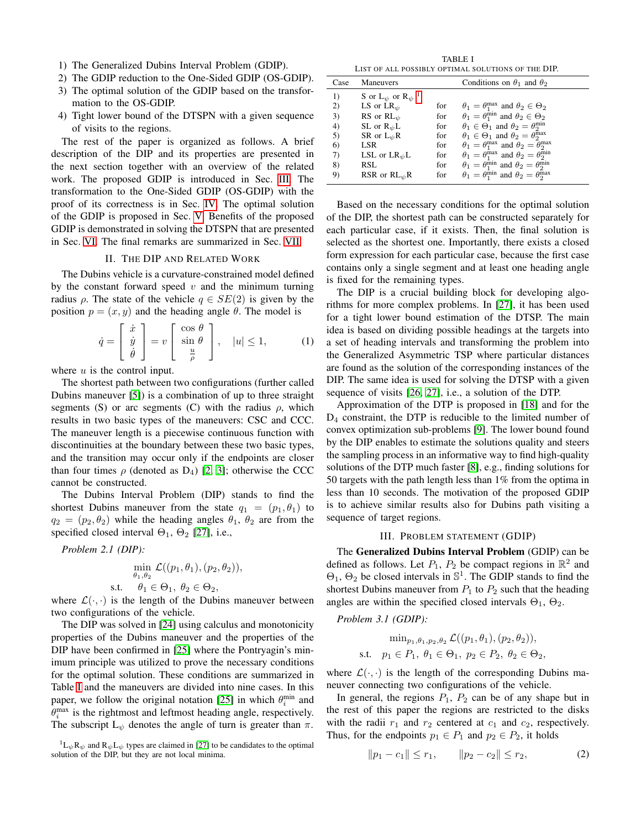- 1) The Generalized Dubins Interval Problem (GDIP).
- 2) The GDIP reduction to the One-Sided GDIP (OS-GDIP).
- 3) The optimal solution of the GDIP based on the transformation to the OS-GDIP.
- 4) Tight lower bound of the DTSPN with a given sequence of visits to the regions.

The rest of the paper is organized as follows. A brief description of the DIP and its properties are presented in the next section together with an overview of the related work. The proposed GDIP is introduced in Sec. [III.](#page-1-0) The transformation to the One-Sided GDIP (OS-GDIP) with the proof of its correctness is in Sec. [IV.](#page-2-0) The optimal solution of the GDIP is proposed in Sec. [V.](#page-3-0) Benefits of the proposed GDIP is demonstrated in solving the DTSPN that are presented in Sec. [VI.](#page-6-0) The final remarks are summarized in Sec. [VII.](#page-7-0)

# II. THE DIP AND RELATED WORK

The Dubins vehicle is a curvature-constrained model defined by the constant forward speed  $v$  and the minimum turning radius  $\rho$ . The state of the vehicle  $q \in SE(2)$  is given by the position  $p = (x, y)$  and the heading angle  $\theta$ . The model is

$$
\dot{q} = \begin{bmatrix} \dot{x} \\ \dot{y} \\ \dot{\theta} \end{bmatrix} = v \begin{bmatrix} \cos \theta \\ \sin \theta \\ \frac{u}{\rho} \end{bmatrix}, \quad |u| \le 1,
$$
 (1)

where  $u$  is the control input.

The shortest path between two configurations (further called Dubins maneuver [\[5\]](#page-8-0)) is a combination of up to three straight segments (S) or arc segments (C) with the radius  $\rho$ , which results in two basic types of the maneuvers: CSC and CCC. The maneuver length is a piecewise continuous function with discontinuities at the boundary between these two basic types, and the transition may occur only if the endpoints are closer than four times  $\rho$  (denoted as  $D_4$ ) [\[2,](#page-8-15) [3\]](#page-8-16); otherwise the CCC cannot be constructed.

The Dubins Interval Problem (DIP) stands to find the shortest Dubins maneuver from the state  $q_1 = (p_1, \theta_1)$  to  $q_2 = (p_2, \theta_2)$  while the heading angles  $\theta_1$ ,  $\theta_2$  are from the specified closed interval  $\Theta_1$ ,  $\Theta_2$  [\[27\]](#page-9-8), i.e.,

*Problem 2.1 (DIP):*

$$
\min_{\theta_1, \theta_2} \mathcal{L}((p_1, \theta_1), (p_2, \theta_2)),
$$
s.t.  $\theta_1 \in \Theta_1, \ \theta_2 \in \Theta_2,$ 

where  $\mathcal{L}(\cdot, \cdot)$  is the length of the Dubins maneuver between two configurations of the vehicle.

The DIP was solved in [\[24\]](#page-9-15) using calculus and monotonicity properties of the Dubins maneuver and the properties of the DIP have been confirmed in [\[25\]](#page-9-16) where the Pontryagin's minimum principle was utilized to prove the necessary conditions for the optimal solution. These conditions are summarized in Table [I](#page-1-1) and the maneuvers are divided into nine cases. In this paper, we follow the original notation [\[25\]](#page-9-16) in which  $\theta_i^{\min}$  and  $\theta_i^{\text{max}}$  is the rightmost and leftmost heading angle, respectively. The subscript  $L_{\psi}$  denotes the angle of turn is greater than  $\pi$ .

<span id="page-1-2"></span> ${}^{1}L_{\psi}R_{\psi}$  and  $R_{\psi}L_{\psi}$  types are claimed in [\[27\]](#page-9-8) to be candidates to the optimal solution of the DIP, but they are not local minima.

TABLE I LIST OF ALL POSSIBLY OPTIMAL SOLUTIONS OF THE DIP.

<span id="page-1-1"></span>

| Case | <b>Maneuvers</b>                           |     | Conditions on $\theta_1$ and $\theta_2$                                   |
|------|--------------------------------------------|-----|---------------------------------------------------------------------------|
| 1)   | S or $L_{\psi}$ or $R_{\psi}$ <sup>1</sup> |     |                                                                           |
| 2)   | LS or $LR_{\psi}$                          | for | $\theta_1 = \theta_1^{\max}$ and $\theta_2 \in \Theta_2$                  |
| 3)   | RS or $RL_{\psi}$                          | for | $\theta_1 = \theta_1^{\min}$ and $\theta_2 \in \Theta_2$                  |
| 4)   | SL or $R_{\psi}L$                          | for | $\theta_1 \in \Theta_1$ and $\theta_2 = \theta_2^{\min}$                  |
| 5)   | SR or $L_{\psi}R$                          | for | $\theta_1 \in \Theta_1$ and $\theta_2 = \theta_2^{\max}$                  |
| 6)   | LSR                                        | for | $\theta_1 = \theta_1^{\max}$ and $\theta_2 = \theta_2^{\max}$             |
| 7)   | LSL or $LR_{\psi}L$                        | for | $\theta_1 = \theta_1^{\text{max}}$ and $\theta_2 = \theta_2^{\text{min}}$ |
| 8)   | RSL                                        | for | $\theta_1 = \theta_1^{\min}$ and $\theta_2 = \theta_2^{\min}$             |
| 9)   | RSR or $RL_{\psi}R$                        | for | $\theta_1 = \theta_1^{\text{min}}$ and $\theta_2 = \theta_2^{\text{max}}$ |

Based on the necessary conditions for the optimal solution of the DIP, the shortest path can be constructed separately for each particular case, if it exists. Then, the final solution is selected as the shortest one. Importantly, there exists a closed form expression for each particular case, because the first case contains only a single segment and at least one heading angle is fixed for the remaining types.

The DIP is a crucial building block for developing algorithms for more complex problems. In [\[27\]](#page-9-8), it has been used for a tight lower bound estimation of the DTSP. The main idea is based on dividing possible headings at the targets into a set of heading intervals and transforming the problem into the Generalized Asymmetric TSP where particular distances are found as the solution of the corresponding instances of the DIP. The same idea is used for solving the DTSP with a given sequence of visits [\[26,](#page-9-9) [27\]](#page-9-8), i.e., a solution of the DTP.

Approximation of the DTP is proposed in [\[18\]](#page-8-17) and for the  $D_4$  constraint, the DTP is reducible to the limited number of convex optimization sub-problems [\[9\]](#page-8-18). The lower bound found by the DIP enables to estimate the solutions quality and steers the sampling process in an informative way to find high-quality solutions of the DTP much faster [\[8\]](#page-8-11), e.g., finding solutions for 50 targets with the path length less than 1% from the optima in less than 10 seconds. The motivation of the proposed GDIP is to achieve similar results also for Dubins path visiting a sequence of target regions.

## <span id="page-1-3"></span>III. PROBLEM STATEMENT (GDIP)

<span id="page-1-0"></span>The Generalized Dubins Interval Problem (GDIP) can be defined as follows. Let  $P_1$ ,  $P_2$  be compact regions in  $\mathbb{R}^2$  and  $\Theta_1$ ,  $\Theta_2$  be closed intervals in  $\mathbb{S}^1$ . The GDIP stands to find the shortest Dubins maneuver from  $P_1$  to  $P_2$  such that the heading angles are within the specified closed intervals  $\Theta_1$ ,  $\Theta_2$ .

*Problem 3.1 (GDIP):*

$$
\min_{p_1, \theta_1, p_2, \theta_2} \mathcal{L}((p_1, \theta_1), (p_2, \theta_2)),
$$
  
s.t.  $p_1 \in P_1, \theta_1 \in \Theta_1, p_2 \in P_2, \theta_2 \in \Theta_2,$ 

where  $\mathcal{L}(\cdot, \cdot)$  is the length of the corresponding Dubins maneuver connecting two configurations of the vehicle.

In general, the regions  $P_1$ ,  $P_2$  can be of any shape but in the rest of this paper the regions are restricted to the disks with the radii  $r_1$  and  $r_2$  centered at  $c_1$  and  $c_2$ , respectively. Thus, for the endpoints  $p_1 \in P_1$  and  $p_2 \in P_2$ , it holds

<span id="page-1-4"></span>
$$
||p_1 - c_1|| \le r_1, \qquad ||p_2 - c_2|| \le r_2,
$$
\n(2)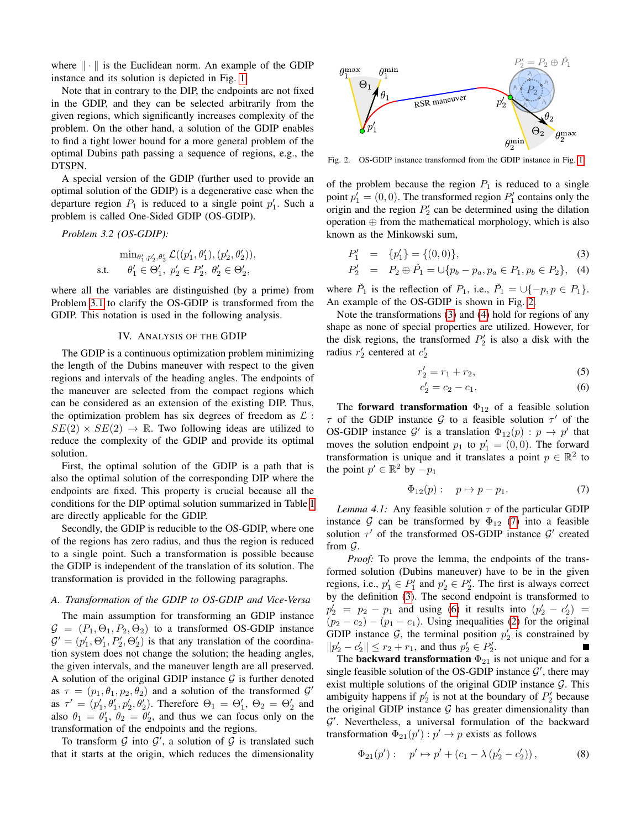where  $\|\cdot\|$  is the Euclidean norm. An example of the GDIP instance and its solution is depicted in Fig. [1.](#page-0-0)

Note that in contrary to the DIP, the endpoints are not fixed in the GDIP, and they can be selected arbitrarily from the given regions, which significantly increases complexity of the problem. On the other hand, a solution of the GDIP enables to find a tight lower bound for a more general problem of the optimal Dubins path passing a sequence of regions, e.g., the DTSPN.

A special version of the GDIP (further used to provide an optimal solution of the GDIP) is a degenerative case when the departure region  $P_1$  is reduced to a single point  $p'_1$ . Such a problem is called One-Sided GDIP (OS-GDIP).

*Problem 3.2 (OS-GDIP):*

$$
\label{eq:optimal} \begin{aligned} \min_{\theta_1',p_2',\theta_2'} \mathcal{L}((p_1',\theta_1'),(p_2',\theta_2')),\\ \text{s.t.} \quad &\theta_1' \in \Theta_1',~p_2' \in P_2',~\theta_2' \in \Theta_2', \end{aligned}
$$

where all the variables are distinguished (by a prime) from Problem [3.1](#page-1-3) to clarify the OS-GDIP is transformed from the GDIP. This notation is used in the following analysis.

#### IV. ANALYSIS OF THE GDIP

<span id="page-2-0"></span>The GDIP is a continuous optimization problem minimizing the length of the Dubins maneuver with respect to the given regions and intervals of the heading angles. The endpoints of the maneuver are selected from the compact regions which can be considered as an extension of the existing DIP. Thus, the optimization problem has six degrees of freedom as  $\mathcal{L}$ :  $SE(2) \times SE(2) \rightarrow \mathbb{R}$ . Two following ideas are utilized to reduce the complexity of the GDIP and provide its optimal solution.

First, the optimal solution of the GDIP is a path that is also the optimal solution of the corresponding DIP where the endpoints are fixed. This property is crucial because all the conditions for the DIP optimal solution summarized in Table [I](#page-1-1) are directly applicable for the GDIP.

Secondly, the GDIP is reducible to the OS-GDIP, where one of the regions has zero radius, and thus the region is reduced to a single point. Such a transformation is possible because the GDIP is independent of the translation of its solution. The transformation is provided in the following paragraphs.

## *A. Transformation of the GDIP to OS-GDIP and Vice-Versa*

The main assumption for transforming an GDIP instance  $G = (P_1, \Theta_1, P_2, \Theta_2)$  to a transformed OS-GDIP instance  $\mathcal{G}' = (p'_1, \Theta'_1, P'_2, \Theta'_2)$  is that any translation of the coordination system does not change the solution; the heading angles, the given intervals, and the maneuver length are all preserved. A solution of the original GDIP instance  $G$  is further denoted as  $\tau = (p_1, \theta_1, p_2, \theta_2)$  and a solution of the transformed  $\mathcal{G}'$ as  $\tau' = (p'_1, \theta'_1, p'_2, \theta'_2)$ . Therefore  $\Theta_1 = \Theta'_1$ ,  $\Theta_2 = \Theta'_2$  and also  $\theta_1 = \theta'_1$ ,  $\theta_2 = \theta'_2$ , and thus we can focus only on the transformation of the endpoints and the regions.

To transform  $G$  into  $G'$ , a solution of  $G$  is translated such that it starts at the origin, which reduces the dimensionality



<span id="page-2-1"></span>Fig. 2. OS-GDIP instance transformed from the GDIP instance in Fig. [1.](#page-0-0)

of the problem because the region  $P_1$  is reduced to a single point  $p'_1 = (0, 0)$ . The transformed region  $P'_1$  contains only the origin and the region  $P'_2$  can be determined using the dilation operation  $\oplus$  from the mathematical morphology, which is also known as the Minkowski sum,

<span id="page-2-2"></span>
$$
P_1' = \{p_1'\} = \{(0,0)\},\tag{3}
$$

$$
P_2' = P_2 \oplus \check{P}_1 = \bigcup \{ p_b - p_a, p_a \in P_1, p_b \in P_2 \}, \quad (4)
$$

where  $\check{P}_1$  is the reflection of  $P_1$ , i.e.,  $\check{P}_1 = \cup \{-p, p \in P_1\}.$ An example of the OS-GDIP is shown in Fig. [2.](#page-2-1)

Note the transformations [\(3\)](#page-2-2) and [\(4\)](#page-2-2) hold for regions of any shape as none of special properties are utilized. However, for the disk regions, the transformed  $P'_2$  is also a disk with the radius  $r'_2$  centered at  $c'_2$ 

r

<span id="page-2-4"></span>
$$
r_2' = r_1 + r_2,\tag{5}
$$

$$
c_2' = c_2 - c_1. \t\t(6)
$$

The forward transformation  $\Phi_{12}$  of a feasible solution  $\tau$  of the GDIP instance  $\mathcal G$  to a feasible solution  $\tau'$  of the OS-GDIP instance  $\mathcal{G}'$  is a translation  $\Phi_{12}(p) : p \to p'$  that moves the solution endpoint  $p_1$  to  $p'_1 = (0,0)$ . The forward transformation is unique and it translates a point  $p \in \mathbb{R}^2$  to the point  $p' \in \mathbb{R}^2$  by  $-p_1$ 

<span id="page-2-3"></span>
$$
\Phi_{12}(p): \quad p \mapsto p - p_1. \tag{7}
$$

<span id="page-2-6"></span>*Lemma 4.1:* Any feasible solution  $\tau$  of the particular GDIP instance G can be transformed by  $\Phi_{12}$  [\(7\)](#page-2-3) into a feasible solution  $\tau'$  of the transformed OS-GDIP instance  $\mathcal{G}'$  created from G.

*Proof:* To prove the lemma, the endpoints of the transformed solution (Dubins maneuver) have to be in the given regions, i.e.,  $p'_1 \in P'_1$  and  $p'_2 \in P'_2$ . The first is always correct by the definition [\(3\)](#page-2-2). The second endpoint is transformed to  $p'_2 = p_2 - p_1$  and using [\(6\)](#page-2-4) it results into  $(p'_2 - c'_2)$  $(p_2 - c_2) - (p_1 - c_1)$ . Using inequalities [\(2\)](#page-1-4) for the original GDIP instance  $G$ , the terminal position  $p'_2$  is constrained by  $||p'_2 - c'_2|| \le r_2 + r_1$ , and thus  $p'_2 \in P'_2$ .

The **backward transformation**  $\Phi_{21}$  is not unique and for a single feasible solution of the OS-GDIP instance  $\mathcal{G}'$ , there may exist multiple solutions of the original GDIP instance  $G$ . This ambiguity happens if  $p'_2$  is not at the boundary of  $P'_2$  because the original GDIP instance  $G$  has greater dimensionality than G 0 . Nevertheless, a universal formulation of the backward transformation  $\Phi_{21}(p') : p' \to p$  exists as follows

<span id="page-2-5"></span>
$$
\Phi_{21}(p'):\quad p' \mapsto p' + (c_1 - \lambda (p'_2 - c'_2)),\tag{8}
$$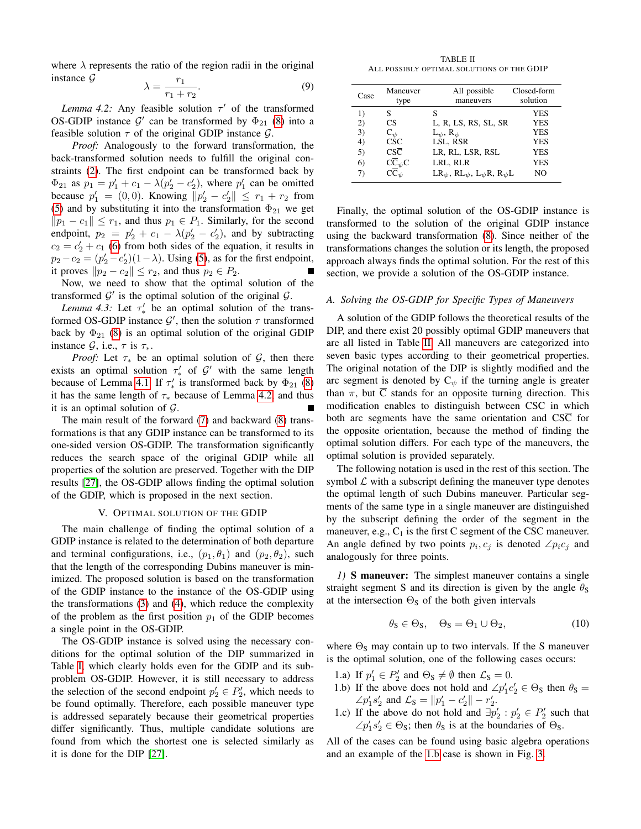where  $\lambda$  represents the ratio of the region radii in the original instance G  $r<sub>1</sub>$ 

$$
\lambda = \frac{1}{r_1 + r_2}.\tag{9}
$$

<span id="page-3-1"></span>*Lemma 4.2:* Any feasible solution  $\tau'$  of the transformed OS-GDIP instance  $\mathcal{G}'$  can be transformed by  $\Phi_{21}$  [\(8\)](#page-2-5) into a feasible solution  $\tau$  of the original GDIP instance  $\mathcal{G}$ .

*Proof:* Analogously to the forward transformation, the back-transformed solution needs to fulfill the original constraints [\(2\)](#page-1-4). The first endpoint can be transformed back by  $\Phi_{21}$  as  $p_1 = p'_1 + c_1 - \lambda (p'_2 - c'_2)$ , where  $p'_1$  can be omitted because  $p'_1 = (0, 0)$ . Knowing  $||p'_2 - c'_2|| \le r_1 + r_2$  from [\(5\)](#page-2-4) and by substituting it into the transformation  $\Phi_{21}$  we get  $||p_1 - c_1|| \leq r_1$ , and thus  $p_1 \in P_1$ . Similarly, for the second endpoint,  $p_2 = p'_2 + c_1 - \lambda (p'_2 - c'_2)$ , and by subtracting  $c_2 = c_2' + c_1$  [\(6\)](#page-2-4) from both sides of the equation, it results in  $p_2 - c_2 = (p'_2 - c'_2)(1 - \lambda)$ . Using [\(5\)](#page-2-4), as for the first endpoint, it proves  $||p_2 - c_2|| \le r_2$ , and thus  $p_2 \in P_2$ .

Now, we need to show that the optimal solution of the transformed  $\mathcal{G}'$  is the optimal solution of the original  $\mathcal{G}$ .

*Lemma 4.3:* Let  $\tau'_{*}$  be an optimal solution of the transformed OS-GDIP instance  $\mathcal{G}'$ , then the solution  $\tau$  transformed back by  $\Phi_{21}$  [\(8\)](#page-2-5) is an optimal solution of the original GDIP instance  $\mathcal{G}$ , i.e.,  $\tau$  is  $\tau_*$ .

*Proof:* Let  $\tau_*$  be an optimal solution of  $\mathcal{G}$ , then there exists an optimal solution  $\tau'_{*}$  of  $\mathcal{G}'$  with the same length because of Lemma [4.1.](#page-2-6) If  $\tau'_{*}$  is transformed back by  $\Phi_{21}$  [\(8\)](#page-2-5) it has the same length of  $\tau_*$  because of Lemma [4.2,](#page-3-1) and thus it is an optimal solution of  $\mathcal{G}$ .

The main result of the forward [\(7\)](#page-2-3) and backward [\(8\)](#page-2-5) transformations is that any GDIP instance can be transformed to its one-sided version OS-GDIP. The transformation significantly reduces the search space of the original GDIP while all properties of the solution are preserved. Together with the DIP results [\[27\]](#page-9-8), the OS-GDIP allows finding the optimal solution of the GDIP, which is proposed in the next section.

#### V. OPTIMAL SOLUTION OF THE GDIP

<span id="page-3-0"></span>The main challenge of finding the optimal solution of a GDIP instance is related to the determination of both departure and terminal configurations, i.e.,  $(p_1, \theta_1)$  and  $(p_2, \theta_2)$ , such that the length of the corresponding Dubins maneuver is minimized. The proposed solution is based on the transformation of the GDIP instance to the instance of the OS-GDIP using the transformations [\(3\)](#page-2-2) and [\(4\)](#page-2-2), which reduce the complexity of the problem as the first position  $p_1$  of the GDIP becomes a single point in the OS-GDIP.

The OS-GDIP instance is solved using the necessary conditions for the optimal solution of the DIP summarized in Table [I,](#page-1-1) which clearly holds even for the GDIP and its subproblem OS-GDIP. However, it is still necessary to address the selection of the second endpoint  $p'_2 \in P'_2$ , which needs to be found optimally. Therefore, each possible maneuver type is addressed separately because their geometrical properties differ significantly. Thus, multiple candidate solutions are found from which the shortest one is selected similarly as it is done for the DIP [\[27\]](#page-9-8).

TABLE II ALL POSSIBLY OPTIMAL SOLUTIONS OF THE GDIP

<span id="page-3-2"></span>

| Case | Maneuver<br>type                                                                              | All possible<br>maneuvers                                                                                            | Closed-form<br>solution |
|------|-----------------------------------------------------------------------------------------------|----------------------------------------------------------------------------------------------------------------------|-------------------------|
| 1)   | S                                                                                             | S                                                                                                                    | <b>YES</b>              |
| 2)   | CS.                                                                                           | L, R, LS, RS, SL, SR                                                                                                 | <b>YES</b>              |
| 3)   | $C_{\nu}$                                                                                     | $L_{\psi}$ , $R_{\psi}$                                                                                              | <b>YES</b>              |
| 4)   | <b>CSC</b>                                                                                    | LSL, RSR                                                                                                             | <b>YES</b>              |
| 5)   | $\overline{\text{csc}}$                                                                       | LR, RL, LSR, RSL                                                                                                     | <b>YES</b>              |
| 6)   |                                                                                               | LRL, RLR                                                                                                             | <b>YES</b>              |
| 7)   | $\frac{\mathsf{C}\overline{\mathsf{C}}_\psi\mathsf{C}}{\mathsf{C}\overline{\mathsf{C}}_\psi}$ | $LR_{\psi}$ , RL <sub><math>\psi</math></sub> , L <sub><math>\psi</math></sub> , R, R <sub><math>\psi</math></sub> L | NO.                     |

Finally, the optimal solution of the OS-GDIP instance is transformed to the solution of the original GDIP instance using the backward transformation [\(8\)](#page-2-5). Since neither of the transformations changes the solution or its length, the proposed approach always finds the optimal solution. For the rest of this section, we provide a solution of the OS-GDIP instance.

# *A. Solving the OS-GDIP for Specific Types of Maneuvers*

A solution of the GDIP follows the theoretical results of the DIP, and there exist 20 possibly optimal GDIP maneuvers that are all listed in Table [II.](#page-3-2) All maneuvers are categorized into seven basic types according to their geometrical properties. The original notation of the DIP is slightly modified and the arc segment is denoted by  $C_{\psi}$  if the turning angle is greater than  $\pi$ , but  $\overline{C}$  stands for an opposite turning direction. This modification enables to distinguish between CSC in which both arc segments have the same orientation and  $CS\overline{C}$  for the opposite orientation, because the method of finding the optimal solution differs. For each type of the maneuvers, the optimal solution is provided separately.

The following notation is used in the rest of this section. The symbol  $\mathcal L$  with a subscript defining the maneuver type denotes the optimal length of such Dubins maneuver. Particular segments of the same type in a single maneuver are distinguished by the subscript defining the order of the segment in the maneuver, e.g.,  $C_1$  is the first C segment of the CSC maneuver. An angle defined by two points  $p_i, c_j$  is denoted  $\angle p_i c_j$  and analogously for three points.

*1)* S maneuver: The simplest maneuver contains a single straight segment S and its direction is given by the angle  $\theta_s$ at the intersection  $\Theta$ <sub>S</sub> of the both given intervals

$$
\theta_{\mathbf{S}} \in \Theta_{\mathbf{S}}, \quad \Theta_{\mathbf{S}} = \Theta_1 \cup \Theta_2, \tag{10}
$$

where  $\Theta_s$  may contain up to two intervals. If the S maneuver is the optimal solution, one of the following cases occurs:

- 1.a) If  $p'_1 \in P'_2$  and  $\Theta_s \neq \emptyset$  then  $\mathcal{L}_s = 0$ .
- <span id="page-3-3"></span>1.b) If the above does not hold and  $\angle p'_1 c'_2 \in \Theta_S$  then  $\theta_S =$  $\angle p'_1 s'_2$  and  $\mathcal{L}_S = ||p'_1 - c'_2|| - r'_2$ .
- 1.c) If the above do not hold and  $\exists p'_2 : p'_2 \in P'_2$  such that  $\angle p'_1 s'_2 \in \Theta_s$ ; then  $\theta_s$  is at the boundaries of  $\Theta_s$ .

All of the cases can be found using basic algebra operations and an example of the [1.b](#page-3-3) case is shown in Fig. [3.](#page-4-0)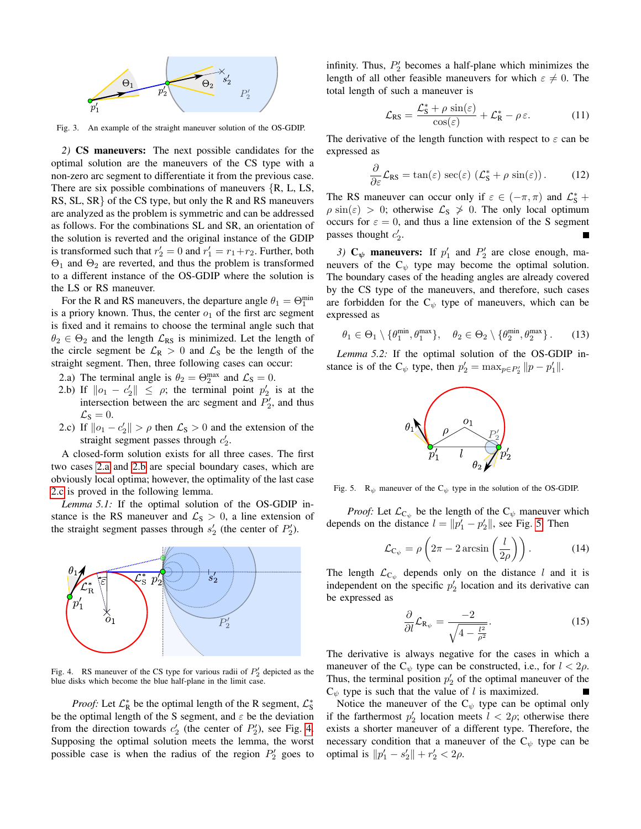

<span id="page-4-0"></span>Fig. 3. An example of the straight maneuver solution of the OS-GDIP.

*2)* CS maneuvers: The next possible candidates for the optimal solution are the maneuvers of the CS type with a non-zero arc segment to differentiate it from the previous case. There are six possible combinations of maneuvers {R, L, LS, RS, SL, SR} of the CS type, but only the R and RS maneuvers are analyzed as the problem is symmetric and can be addressed as follows. For the combinations SL and SR, an orientation of the solution is reverted and the original instance of the GDIP is transformed such that  $r'_2 = 0$  and  $r'_1 = r_1 + r_2$ . Further, both  $\Theta_1$  and  $\Theta_2$  are reverted, and thus the problem is transformed to a different instance of the OS-GDIP where the solution is the LS or RS maneuver.

For the R and RS maneuvers, the departure angle  $\theta_1 = \Theta_1^{\min}$ is a priory known. Thus, the center  $o_1$  of the first arc segment is fixed and it remains to choose the terminal angle such that  $\theta_2 \in \Theta_2$  and the length  $\mathcal{L}_{RS}$  is minimized. Let the length of the circle segment be  $\mathcal{L}_{R} > 0$  and  $\mathcal{L}_{S}$  be the length of the straight segment. Then, three following cases can occur:

- <span id="page-4-1"></span>2.a) The terminal angle is  $\theta_2 = \Theta_2^{\text{max}}$  and  $\mathcal{L}_\text{S} = 0$ .
- <span id="page-4-2"></span>2.b) If  $\|o_1 - c_2'\| \leq \rho$ ; the terminal point  $p_2'$  is at the intersection between the arc segment and  $P'_2$ , and thus  $\mathcal{L}_\text{S}=0.$
- <span id="page-4-3"></span>2.c) If  $\|o_1 - c_2'\| > \rho$  then  $\mathcal{L}_S > 0$  and the extension of the straight segment passes through  $c'_2$ .

A closed-form solution exists for all three cases. The first two cases [2.a](#page-4-1) and [2.b](#page-4-2) are special boundary cases, which are obviously local optima; however, the optimality of the last case [2.c](#page-4-3) is proved in the following lemma.

*Lemma 5.1:* If the optimal solution of the OS-GDIP instance is the RS maneuver and  $\mathcal{L}_S > 0$ , a line extension of the straight segment passes through  $s'_2$  (the center of  $P'_2$ ).



<span id="page-4-4"></span>Fig. 4. RS maneuver of the CS type for various radii of  $P'_2$  depicted as the blue disks which become the blue half-plane in the limit case.

*Proof:* Let  $\mathcal{L}_R^*$  be the optimal length of the R segment,  $\mathcal{L}_S^*$ be the optimal length of the S segment, and  $\varepsilon$  be the deviation from the direction towards  $c'_2$  (the center of  $P'_2$ ), see Fig. [4.](#page-4-4) Supposing the optimal solution meets the lemma, the worst possible case is when the radius of the region  $P'_2$  goes to

infinity. Thus,  $P'_2$  becomes a half-plane which minimizes the length of all other feasible maneuvers for which  $\varepsilon \neq 0$ . The total length of such a maneuver is

$$
\mathcal{L}_{RS} = \frac{\mathcal{L}_{S}^{*} + \rho \sin(\varepsilon)}{\cos(\varepsilon)} + \mathcal{L}_{R}^{*} - \rho \varepsilon. \tag{11}
$$

The derivative of the length function with respect to  $\varepsilon$  can be expressed as

$$
\frac{\partial}{\partial \varepsilon} \mathcal{L}_{RS} = \tan(\varepsilon) \sec(\varepsilon) \left( \mathcal{L}_S^* + \rho \sin(\varepsilon) \right). \tag{12}
$$

The RS maneuver can occur only if  $\varepsilon \in (-\pi, \pi)$  and  $\mathcal{L}_{S}^{*}$  +  $\rho \sin(\varepsilon) > 0$ ; otherwise  $\mathcal{L}_S \nsucceq 0$ . The only local optimum occurs for  $\varepsilon = 0$ , and thus a line extension of the S segment passes thought  $c'_2$ .

3)  $C_{\psi}$  maneuvers: If  $p'_1$  and  $P'_2$  are close enough, maneuvers of the  $C_{\psi}$  type may become the optimal solution. The boundary cases of the heading angles are already covered by the CS type of the maneuvers, and therefore, such cases are forbidden for the  $C_{\psi}$  type of maneuvers, which can be expressed as

$$
\theta_1 \in \Theta_1 \setminus \{\theta_1^{\min}, \theta_1^{\max}\}, \quad \theta_2 \in \Theta_2 \setminus \{\theta_2^{\min}, \theta_2^{\max}\}.
$$
 (13)

*Lemma 5.2:* If the optimal solution of the OS-GDIP instance is of the  $C_{\psi}$  type, then  $p'_2 = \max_{p \in P'_2} ||p - p'_1||$ .



<span id="page-4-5"></span>Fig. 5. R<sub> $\psi$ </sub> maneuver of the C<sub> $\psi$ </sub> type in the solution of the OS-GDIP.

*Proof:* Let  $\mathcal{L}_{C_{\psi}}$  be the length of the  $C_{\psi}$  maneuver which depends on the distance  $l = ||p'_1 - p'_2||$ , see Fig. [5.](#page-4-5) Then

$$
\mathcal{L}_{\mathcal{C}_{\psi}} = \rho \left( 2\pi - 2 \arcsin \left( \frac{l}{2\rho} \right) \right). \tag{14}
$$

The length  $\mathcal{L}_{C_{\psi}}$  depends only on the distance l and it is independent on the specific  $p'_2$  location and its derivative can be expressed as

$$
\frac{\partial}{\partial l} \mathcal{L}_{\mathbf{R}_{\psi}} = \frac{-2}{\sqrt{4 - \frac{l^2}{\rho^2}}}.
$$
\n(15)

The derivative is always negative for the cases in which a maneuver of the  $C_{\psi}$  type can be constructed, i.e., for  $l < 2\rho$ . Thus, the terminal position  $p'_2$  of the optimal maneuver of the  $C_{\psi}$  type is such that the value of l is maximized.

Notice the maneuver of the  $C_{\psi}$  type can be optimal only if the farthermost  $p'_2$  location meets  $l < 2\rho$ ; otherwise there exists a shorter maneuver of a different type. Therefore, the necessary condition that a maneuver of the  $C_{\psi}$  type can be optimal is  $||p'_1 - s'_2|| + r'_2 < 2\rho$ .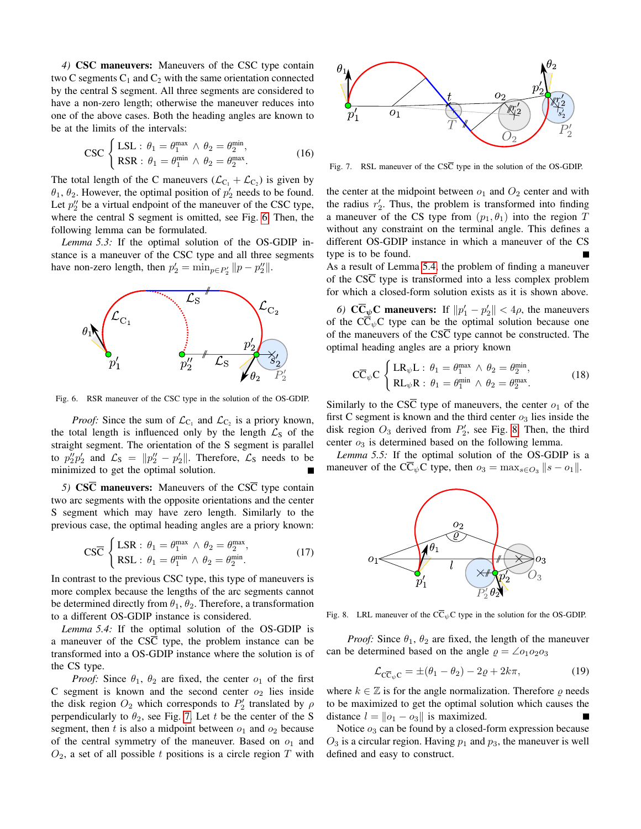*4)* CSC maneuvers: Maneuvers of the CSC type contain two C segments  $C_1$  and  $C_2$  with the same orientation connected by the central S segment. All three segments are considered to have a non-zero length; otherwise the maneuver reduces into one of the above cases. Both the heading angles are known to be at the limits of the intervals:

$$
\text{CSC} \begin{cases} \text{LSL}: \theta_1 = \theta_1^{\text{max}} \wedge \theta_2 = \theta_2^{\text{min}},\\ \text{RSR}: \theta_1 = \theta_1^{\text{min}} \wedge \theta_2 = \theta_2^{\text{max}}. \end{cases} \tag{16}
$$

The total length of the C maneuvers  $(\mathcal{L}_{C_1} + \mathcal{L}_{C_2})$  is given by  $\theta_1$ ,  $\theta_2$ . However, the optimal position of  $p'_2$  needs to be found. Let  $p_2''$  be a virtual endpoint of the maneuver of the CSC type, where the central S segment is omitted, see Fig. [6.](#page-5-0) Then, the following lemma can be formulated.

*Lemma 5.3:* If the optimal solution of the OS-GDIP instance is a maneuver of the CSC type and all three segments have non-zero length, then  $p'_2 = \min_{p \in P'_2} ||p - p''_2||$ .



<span id="page-5-0"></span>Fig. 6. RSR maneuver of the CSC type in the solution of the OS-GDIP.

*Proof:* Since the sum of  $\mathcal{L}_{C_1}$  and  $\mathcal{L}_{C_2}$  is a priory known, the total length is influenced only by the length  $\mathcal{L}_S$  of the straight segment. The orientation of the S segment is parallel to  $p_2''p_2'$  and  $\mathcal{L}_S = ||p_2'' - p_2'||$ . Therefore,  $\mathcal{L}_S$  needs to be minimized to get the optimal solution.

*5)* CSC maneuvers: Maneuvers of the CSC type contain two arc segments with the opposite orientations and the center S segment which may have zero length. Similarly to the previous case, the optimal heading angles are a priory known:

$$
\text{CS}\overline{\mathbf{C}}\begin{cases}\text{LSR}: \theta_1 = \theta_1^{\text{max}} \wedge \theta_2 = \theta_2^{\text{max}},\\ \text{RSL}: \theta_1 = \theta_1^{\text{min}} \wedge \theta_2 = \theta_2^{\text{min}}.\end{cases}
$$
(17)

In contrast to the previous CSC type, this type of maneuvers is more complex because the lengths of the arc segments cannot be determined directly from  $\theta_1$ ,  $\theta_2$ . Therefore, a transformation to a different OS-GDIP instance is considered.

*Lemma 5.4:* If the optimal solution of the OS-GDIP is a maneuver of the  $\overline{\text{CSC}}$  type, the problem instance can be transformed into a OS-GDIP instance where the solution is of the CS type.

*Proof:* Since  $\theta_1$ ,  $\theta_2$  are fixed, the center  $o_1$  of the first C segment is known and the second center  $o_2$  lies inside the disk region  $O_2$  which corresponds to  $P'_2$  translated by  $\rho$ perpendicularly to  $\theta_2$ , see Fig. [7.](#page-5-1) Let t be the center of the S segment, then t is also a midpoint between  $o_1$  and  $o_2$  because of the central symmetry of the maneuver. Based on  $o_1$  and  $O_2$ , a set of all possible t positions is a circle region T with



<span id="page-5-1"></span>Fig. 7. RSL maneuver of the  $CS\overline{C}$  type in the solution of the OS-GDIP.

the center at the midpoint between  $o_1$  and  $O_2$  center and with the radius  $r'_2$ . Thus, the problem is transformed into finding a maneuver of the CS type from  $(p_1, \theta_1)$  into the region T without any constraint on the terminal angle. This defines a different OS-GDIP instance in which a maneuver of the CS type is to be found.

As a result of Lemma [5.4,](#page-5-2) the problem of finding a maneuver of the  $CS\overline{C}$  type is transformed into a less complex problem for which a closed-form solution exists as it is shown above.

*6*)  $\mathbb{C}\overline{\mathbb{C}}_{\psi}\mathbb{C}$  maneuvers: If  $||p'_1 - p'_2|| < 4\rho$ , the maneuvers of the  $C\overline{C}_\psi C$  type can be the optimal solution because one of the maneuvers of the  $\overline{\text{CSC}}$  type cannot be constructed. The optimal heading angles are a priory known

$$
\mathbf{C}\overline{\mathbf{C}}_{\psi}\mathbf{C}\begin{cases}\mathbf{LR}_{\psi}\mathbf{L}:\,\theta_1=\theta_1^{\max}\,\wedge\,\theta_2=\theta_2^{\min},\\ \mathbf{RL}_{\psi}\mathbf{R}:\,\theta_1=\theta_1^{\min}\,\wedge\,\theta_2=\theta_2^{\max}.\end{cases}\tag{18}
$$

Similarly to the CS $\overline{C}$  type of maneuvers, the center  $o_1$  of the first C segment is known and the third center  $o_3$  lies inside the disk region  $O_3$  derived from  $P'_2$ , see Fig. [8.](#page-5-3) Then, the third center  $o_3$  is determined based on the following lemma.

*Lemma 5.5:* If the optimal solution of the OS-GDIP is a maneuver of the C $\overline{C}_{\psi}C$  type, then  $o_3 = \max_{s \in O_3} ||s - o_1||$ .



<span id="page-5-3"></span><span id="page-5-2"></span>Fig. 8. LRL maneuver of the  $C\overline{C}_{\psi}C$  type in the solution for the OS-GDIP.

*Proof:* Since  $\theta_1$ ,  $\theta_2$  are fixed, the length of the maneuver can be determined based on the angle  $\rho = \angle o_1 o_2 o_3$ 

$$
\mathcal{L}_{\mathbf{C}\overline{\mathbf{C}}_{\psi}\mathbf{C}} = \pm (\theta_1 - \theta_2) - 2\varrho + 2k\pi, \tag{19}
$$

where  $k \in \mathbb{Z}$  is for the angle normalization. Therefore  $\rho$  needs to be maximized to get the optimal solution which causes the distance  $l = ||o_1 - o_3||$  is maximized.

Notice  $o_3$  can be found by a closed-form expression because  $O_3$  is a circular region. Having  $p_1$  and  $p_3$ , the maneuver is well defined and easy to construct.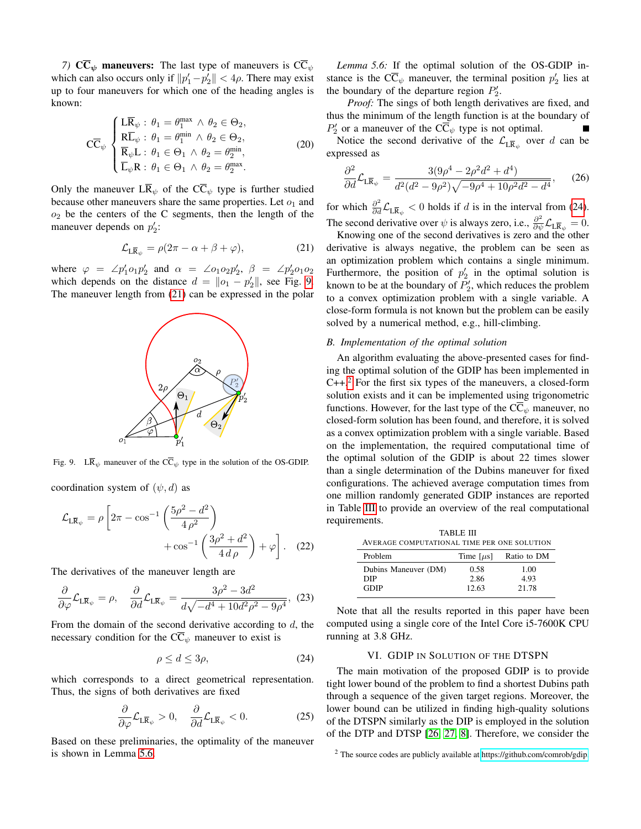*7)*  $\overline{\text{CC}}_{\psi}$  maneuvers: The last type of maneuvers is  $\overline{\text{CC}}_{\psi}$ which can also occurs only if  $||p'_1-p'_2|| < 4\rho$ . There may exist up to four maneuvers for which one of the heading angles is known:

$$
C\overline{C}_{\psi} \begin{cases} L\overline{R}_{\psi} : \theta_1 = \theta_1^{\max} \wedge \theta_2 \in \Theta_2, \\ R\overline{L}_{\psi} : \theta_1 = \theta_1^{\min} \wedge \theta_2 \in \Theta_2, \\ \overline{R}_{\psi}L : \theta_1 \in \Theta_1 \wedge \theta_2 = \theta_2^{\min}, \\ \overline{L}_{\psi}R : \theta_1 \in \Theta_1 \wedge \theta_2 = \theta_2^{\max}. \end{cases}
$$
(20)

Only the maneuver  $L\overline{R}_{\psi}$  of the  $C\overline{C}_{\psi}$  type is further studied because other maneuvers share the same properties. Let  $o_1$  and  $o_2$  be the centers of the C segments, then the length of the maneuver depends on  $p'_2$ :

<span id="page-6-2"></span>
$$
\mathcal{L}_{L\overline{R}_{\psi}} = \rho(2\pi - \alpha + \beta + \varphi), \tag{21}
$$

where  $\varphi = \angle p'_1 o_1 p'_2$  and  $\alpha = \angle o_1 o_2 p'_2$ ,  $\beta = \angle p'_2 o_1 o_2$ which depends on the distance  $d = ||o_1 - p'_2||$ , see Fig. [9.](#page-6-1) The maneuver length from [\(21\)](#page-6-2) can be expressed in the polar



<span id="page-6-1"></span>Fig. 9. L $\overline{R}_{\psi}$  maneuver of the  $C\overline{C}_{\psi}$  type in the solution of the OS-GDIP.

coordination system of  $(\psi, d)$  as

$$
\mathcal{L}_{L\overline{R}_{\psi}} = \rho \left[ 2\pi - \cos^{-1} \left( \frac{5\rho^2 - d^2}{4\rho^2} \right) + \cos^{-1} \left( \frac{3\rho^2 + d^2}{4\,d\rho} \right) + \varphi \right].
$$
 (22)

The derivatives of the maneuver length are

$$
\frac{\partial}{\partial \varphi} \mathcal{L}_{L\overline{\mathbf{R}}_{\psi}} = \rho, \quad \frac{\partial}{\partial d} \mathcal{L}_{L\overline{\mathbf{R}}_{\psi}} = \frac{3\rho^2 - 3d^2}{d\sqrt{-d^4 + 10d^2\rho^2 - 9\rho^4}}, \tag{23}
$$

From the domain of the second derivative according to  $d$ , the necessary condition for the  $C\overline{C}_\psi$  maneuver to exist is

$$
\rho \le d \le 3\rho,\tag{24}
$$

which corresponds to a direct geometrical representation. Thus, the signs of both derivatives are fixed

<span id="page-6-3"></span>
$$
\frac{\partial}{\partial \varphi} \mathcal{L}_{L\overline{R}_{\psi}} > 0, \quad \frac{\partial}{\partial d} \mathcal{L}_{L\overline{R}_{\psi}} < 0. \tag{25}
$$

Based on these preliminaries, the optimality of the maneuver is shown in Lemma [5.6.](#page-6-3)

*Lemma 5.6:* If the optimal solution of the OS-GDIP instance is the  $\overline{C}_{\psi}$  maneuver, the terminal position  $p'_2$  lies at the boundary of the departure region  $P'_2$ .

*Proof:* The sings of both length derivatives are fixed, and thus the minimum of the length function is at the boundary of  $P'_2$  or a maneuver of the C $\overline{C}_{\psi}$  type is not optimal.  $\blacksquare$ Notice the second derivative of the  $\mathcal{L}_{L\bar{\mathbf{R}}_{\psi}}$  over d can be expressed as

$$
\frac{\partial^2}{\partial d} \mathcal{L}_{L\overline{R}_{\psi}} = \frac{3(9\rho^4 - 2\rho^2 d^2 + d^4)}{d^2(d^2 - 9\rho^2)\sqrt{-9\rho^4 + 10\rho^2 d^2 - d^4}},\qquad(26)
$$

for which  $\frac{\partial^2}{\partial d} \mathcal{L}_{L\overline{R}_{\psi}} < 0$  holds if d is in the interval from [\(24\)](#page-6-4). The second derivative over  $\psi$  is always zero, i.e.,  $\frac{\partial^2}{\partial \psi} \mathcal{L}_{L\overline{R}_{\psi}} = 0$ .

Knowing one of the second derivatives is zero and the other derivative is always negative, the problem can be seen as an optimization problem which contains a single minimum. Furthermore, the position of  $p'_2$  in the optimal solution is known to be at the boundary of  $P'_2$ , which reduces the problem to a convex optimization problem with a single variable. A close-form formula is not known but the problem can be easily solved by a numerical method, e.g., hill-climbing.

#### *B. Implementation of the optimal solution*

An algorithm evaluating the above-presented cases for finding the optimal solution of the GDIP has been implemented in  $C++<sup>2</sup>$  $C++<sup>2</sup>$  $C++<sup>2</sup>$  For the first six types of the maneuvers, a closed-form solution exists and it can be implemented using trigonometric functions. However, for the last type of the  $C\overline{C}_{\psi}$  maneuver, no closed-form solution has been found, and therefore, it is solved as a convex optimization problem with a single variable. Based on the implementation, the required computational time of the optimal solution of the GDIP is about 22 times slower than a single determination of the Dubins maneuver for fixed configurations. The achieved average computation times from one million randomly generated GDIP instances are reported in Table [III](#page-6-6) to provide an overview of the real computational requirements.

<span id="page-6-6"></span>

| TABLE III                                   |                |             |  |  |  |
|---------------------------------------------|----------------|-------------|--|--|--|
| AVERAGE COMPUTATIONAL TIME PER ONE SOLUTION |                |             |  |  |  |
| Problem                                     | Time $[\mu s]$ | Ratio to DM |  |  |  |
| Dubins Maneuver (DM)                        | 0.58           | 1.00        |  |  |  |
| DIP                                         | 2.86           | 4.93        |  |  |  |
| GDIP                                        | 12.63          | 21.78       |  |  |  |

<span id="page-6-4"></span>Note that all the results reported in this paper have been computed using a single core of the Intel Core i5-7600K CPU running at 3.8 GHz.

# VI. GDIP IN SOLUTION OF THE DTSPN

<span id="page-6-0"></span>The main motivation of the proposed GDIP is to provide tight lower bound of the problem to find a shortest Dubins path through a sequence of the given target regions. Moreover, the lower bound can be utilized in finding high-quality solutions of the DTSPN similarly as the DIP is employed in the solution of the DTP and DTSP [\[26,](#page-9-9) [27,](#page-9-8) [8\]](#page-8-11). Therefore, we consider the

<span id="page-6-5"></span><sup>2</sup> The source codes are publicly available at [https://github.com/comrob/gdip.](https://github.com/comrob/gdip)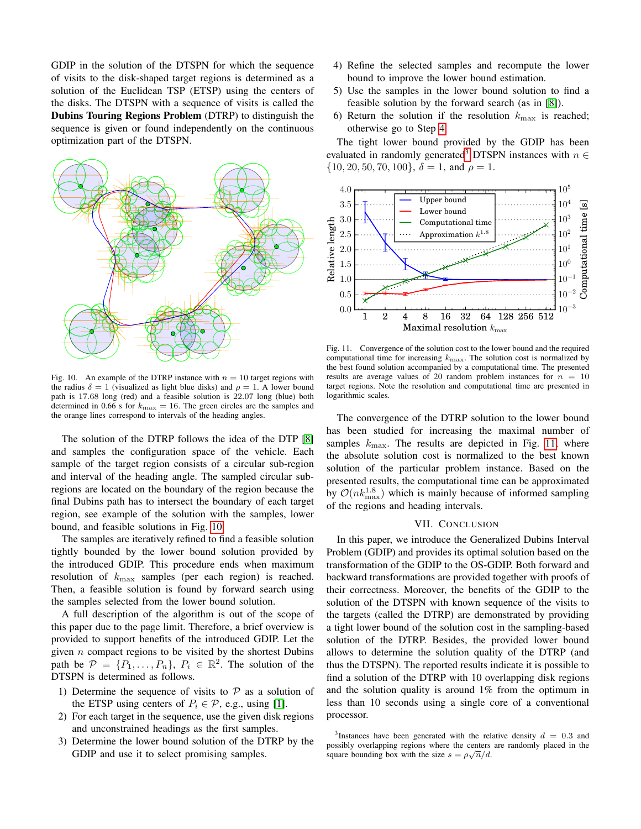GDIP in the solution of the DTSPN for which the sequence of visits to the disk-shaped target regions is determined as a solution of the Euclidean TSP (ETSP) using the centers of the disks. The DTSPN with a sequence of visits is called the Dubins Touring Regions Problem (DTRP) to distinguish the sequence is given or found independently on the continuous optimization part of the DTSPN.



<span id="page-7-1"></span>Fig. 10. An example of the DTRP instance with  $n = 10$  target regions with the radius  $\delta = 1$  (visualized as light blue disks) and  $\rho = 1$ . A lower bound path is 17.68 long (red) and a feasible solution is 22.07 long (blue) both determined in 0.66 s for  $k_{\text{max}} = 16$ . The green circles are the samples and the orange lines correspond to intervals of the heading angles.

The solution of the DTRP follows the idea of the DTP [\[8\]](#page-8-11) and samples the configuration space of the vehicle. Each sample of the target region consists of a circular sub-region and interval of the heading angle. The sampled circular subregions are located on the boundary of the region because the final Dubins path has to intersect the boundary of each target region, see example of the solution with the samples, lower bound, and feasible solutions in Fig. [10.](#page-7-1)

The samples are iteratively refined to find a feasible solution tightly bounded by the lower bound solution provided by the introduced GDIP. This procedure ends when maximum resolution of  $k_{\text{max}}$  samples (per each region) is reached. Then, a feasible solution is found by forward search using the samples selected from the lower bound solution.

A full description of the algorithm is out of the scope of this paper due to the page limit. Therefore, a brief overview is provided to support benefits of the introduced GDIP. Let the given  $n$  compact regions to be visited by the shortest Dubins path be  $P = \{P_1, \ldots, P_n\}, P_i \in \mathbb{R}^2$ . The solution of the DTSPN is determined as follows.

- 1) Determine the sequence of visits to  $P$  as a solution of the ETSP using centers of  $P_i \in \mathcal{P}$ , e.g., using [\[1\]](#page-8-19).
- 2) For each target in the sequence, use the given disk regions and unconstrained headings as the first samples.
- 3) Determine the lower bound solution of the DTRP by the GDIP and use it to select promising samples.
- <span id="page-7-2"></span>4) Refine the selected samples and recompute the lower bound to improve the lower bound estimation.
- 5) Use the samples in the lower bound solution to find a feasible solution by the forward search (as in [\[8\]](#page-8-11)).
- 6) Return the solution if the resolution  $k_{\text{max}}$  is reached; otherwise go to Step [4.](#page-7-2)

The tight lower bound provided by the GDIP has been evaluated in randomly generated<sup>[3](#page-7-3)</sup> DTSPN instances with  $n \in$  $\{10, 20, 50, 70, 100\}, \delta = 1$ , and  $\rho = 1$ .



<span id="page-7-4"></span>Fig. 11. Convergence of the solution cost to the lower bound and the required computational time for increasing  $k_{\text{max}}$ . The solution cost is normalized by the best found solution accompanied by a computational time. The presented results are average values of 20 random problem instances for  $n = 10$ target regions. Note the resolution and computational time are presented in logarithmic scales.

The convergence of the DTRP solution to the lower bound has been studied for increasing the maximal number of samples  $k_{\text{max}}$ . The results are depicted in Fig. [11,](#page-7-4) where the absolute solution cost is normalized to the best known solution of the particular problem instance. Based on the presented results, the computational time can be approximated by  $\mathcal{O}(nk_{\text{max}}^{1.8})$  which is mainly because of informed sampling of the regions and heading intervals.

#### VII. CONCLUSION

<span id="page-7-0"></span>In this paper, we introduce the Generalized Dubins Interval Problem (GDIP) and provides its optimal solution based on the transformation of the GDIP to the OS-GDIP. Both forward and backward transformations are provided together with proofs of their correctness. Moreover, the benefits of the GDIP to the solution of the DTSPN with known sequence of the visits to the targets (called the DTRP) are demonstrated by providing a tight lower bound of the solution cost in the sampling-based solution of the DTRP. Besides, the provided lower bound allows to determine the solution quality of the DTRP (and thus the DTSPN). The reported results indicate it is possible to find a solution of the DTRP with 10 overlapping disk regions and the solution quality is around 1% from the optimum in less than 10 seconds using a single core of a conventional processor.

<span id="page-7-3"></span><sup>&</sup>lt;sup>3</sup>Instances have been generated with the relative density  $d = 0.3$  and possibly overlapping regions where the centers are randomly placed in the square bounding box with the size  $s = \rho \sqrt{n}/d$ .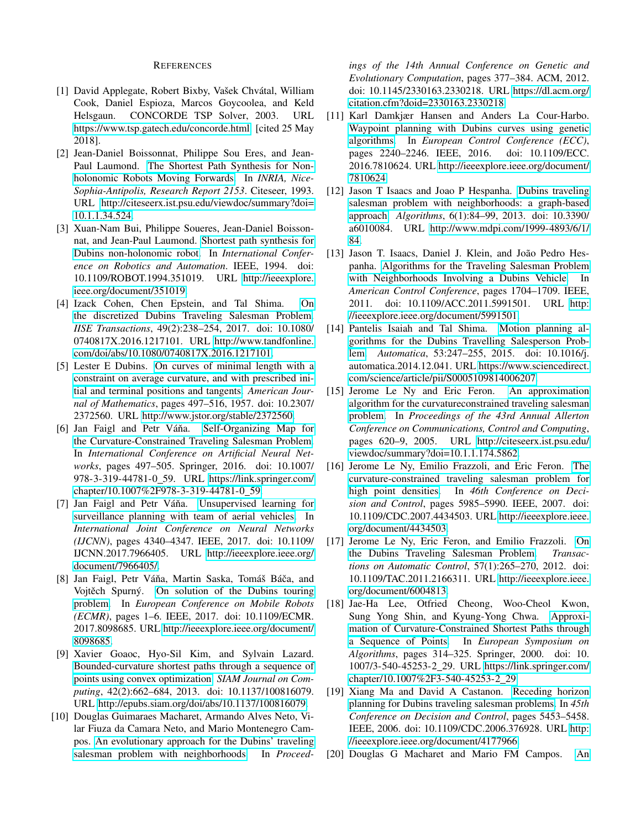## REFERENCES

- <span id="page-8-19"></span>[1] David Applegate, Robert Bixby, Vašek Chvátal, William Cook, Daniel Espioza, Marcos Goycoolea, and Keld Helsgaun. CONCORDE TSP Solver, 2003. URL [https://www.tsp.gatech.edu/concorde.html.](https://www.tsp.gatech.edu/concorde.html) [cited 25 May 2018].
- <span id="page-8-15"></span>[2] Jean-Daniel Boissonnat, Philippe Sou Eres, and Jean-Paul Laumond. [The Shortest Path Synthesis for Non](http://citeseerx.ist.psu.edu/viewdoc/summary?doi=10.1.1.34.524)[holonomic Robots Moving Forwards.](http://citeseerx.ist.psu.edu/viewdoc/summary?doi=10.1.1.34.524) In *INRIA, Nice-Sophia-Antipolis, Research Report 2153*. Citeseer, 1993. URL [http://citeseerx.ist.psu.edu/viewdoc/summary?doi=](http://citeseerx.ist.psu.edu/viewdoc/summary?doi=10.1.1.34.524) [10.1.1.34.524.](http://citeseerx.ist.psu.edu/viewdoc/summary?doi=10.1.1.34.524)
- <span id="page-8-16"></span>[3] Xuan-Nam Bui, Philippe Soueres, Jean-Daniel Boissonnat, and Jean-Paul Laumond. [Shortest path synthesis for](http://ieeexplore.ieee.org/document/351019) [Dubins non-holonomic robot.](http://ieeexplore.ieee.org/document/351019) In *International Conference on Robotics and Automation*. IEEE, 1994. doi: 10.1109/ROBOT.1994.351019. URL [http://ieeexplore.](http://ieeexplore.ieee.org/document/351019) [ieee.org/document/351019.](http://ieeexplore.ieee.org/document/351019)
- <span id="page-8-7"></span>[4] Izack Cohen, Chen Epstein, and Tal Shima. [On](http://www.tandfonline.com/doi/abs/10.1080/0740817X.2016.1217101) [the discretized Dubins Traveling Salesman Problem.](http://www.tandfonline.com/doi/abs/10.1080/0740817X.2016.1217101) *IISE Transactions*, 49(2):238–254, 2017. doi: 10.1080/ 0740817X.2016.1217101. URL [http://www.tandfonline.](http://www.tandfonline.com/doi/abs/10.1080/0740817X.2016.1217101) [com/doi/abs/10.1080/0740817X.2016.1217101.](http://www.tandfonline.com/doi/abs/10.1080/0740817X.2016.1217101)
- <span id="page-8-0"></span>[5] Lester E Dubins. [On curves of minimal length with a](http://www.jstor.org/stable/2372560) [constraint on average curvature, and with prescribed ini](http://www.jstor.org/stable/2372560)[tial and terminal positions and tangents.](http://www.jstor.org/stable/2372560) *American Journal of Mathematics*, pages 497–516, 1957. doi: 10.2307/ 2372560. URL [http://www.jstor.org/stable/2372560.](http://www.jstor.org/stable/2372560)
- <span id="page-8-5"></span>[6] Jan Faigl and Petr Váňa. [Self-Organizing Map for](https://link.springer.com/chapter/10.1007%2F978-3-319-44781-0_59) [the Curvature-Constrained Traveling Salesman Problem.](https://link.springer.com/chapter/10.1007%2F978-3-319-44781-0_59) In *International Conference on Artificial Neural Networks*, pages 497–505. Springer, 2016. doi: 10.1007/ 978-3-319-44781-0 59. URL [https://link.springer.com/](https://link.springer.com/chapter/10.1007%2F978-3-319-44781-0_59) [chapter/10.1007%2F978-3-319-44781-0](https://link.springer.com/chapter/10.1007%2F978-3-319-44781-0_59) 59.
- <span id="page-8-6"></span>[7] Jan Faigl and Petr Váňa. [Unsupervised learning for](http://ieeexplore.ieee.org/document/7966405/) [surveillance planning with team of aerial vehicles.](http://ieeexplore.ieee.org/document/7966405/) In *International Joint Conference on Neural Networks (IJCNN)*, pages 4340–4347. IEEE, 2017. doi: 10.1109/ IJCNN.2017.7966405. URL [http://ieeexplore.ieee.org/](http://ieeexplore.ieee.org/document/7966405/) [document/7966405/.](http://ieeexplore.ieee.org/document/7966405/)
- <span id="page-8-11"></span>[8] Jan Faigl, Petr Váňa, Martin Saska, Tomáš Báča, and Vojtěch Spurný. [On solution of the Dubins touring](http://ieeexplore.ieee.org/document/8098685/) [problem.](http://ieeexplore.ieee.org/document/8098685/) In *European Conference on Mobile Robots (ECMR)*, pages 1–6. IEEE, 2017. doi: 10.1109/ECMR. 2017.8098685. URL [http://ieeexplore.ieee.org/document/](http://ieeexplore.ieee.org/document/8098685) [8098685.](http://ieeexplore.ieee.org/document/8098685)
- <span id="page-8-18"></span>[9] Xavier Goaoc, Hyo-Sil Kim, and Sylvain Lazard. [Bounded-curvature shortest paths through a sequence of](http://epubs.siam.org/doi/abs/10.1137/100816079) [points using convex optimization.](http://epubs.siam.org/doi/abs/10.1137/100816079) *SIAM Journal on Computing*, 42(2):662–684, 2013. doi: 10.1137/100816079. URL [http://epubs.siam.org/doi/abs/10.1137/100816079.](http://epubs.siam.org/doi/abs/10.1137/100816079)
- <span id="page-8-13"></span>[10] Douglas Guimaraes Macharet, Armando Alves Neto, Vilar Fiuza da Camara Neto, and Mario Montenegro Campos. [An evolutionary approach for the Dubins' traveling](https://dl.acm.org/citation.cfm?doid=2330163.2330218) [salesman problem with neighborhoods.](https://dl.acm.org/citation.cfm?doid=2330163.2330218) In *Proceed-*

*ings of the 14th Annual Conference on Genetic and Evolutionary Computation*, pages 377–384. ACM, 2012. doi: 10.1145/2330163.2330218. URL [https://dl.acm.org/](https://dl.acm.org/citation.cfm?doid=2330163.2330218) [citation.cfm?doid=2330163.2330218.](https://dl.acm.org/citation.cfm?doid=2330163.2330218)

- <span id="page-8-8"></span>[11] Karl Damkjær Hansen and Anders La Cour-Harbo. [Waypoint planning with Dubins curves using genetic](http://ieeexplore.ieee.org/document/7810624/) [algorithms.](http://ieeexplore.ieee.org/document/7810624/) In *European Control Conference (ECC)*, pages 2240–2246. IEEE, 2016. doi: 10.1109/ECC. 2016.7810624. URL [http://ieeexplore.ieee.org/document/](http://ieeexplore.ieee.org/document/7810624) [7810624.](http://ieeexplore.ieee.org/document/7810624)
- <span id="page-8-14"></span>[12] Jason T Isaacs and Joao P Hespanha. [Dubins traveling](http://www.mdpi.com/1999-4893/6/1/84) [salesman problem with neighborhoods: a graph-based](http://www.mdpi.com/1999-4893/6/1/84) [approach.](http://www.mdpi.com/1999-4893/6/1/84) *Algorithms*, 6(1):84–99, 2013. doi: 10.3390/ a6010084. URL [http://www.mdpi.com/1999-4893/6/1/](http://www.mdpi.com/1999-4893/6/1/84) [84.](http://www.mdpi.com/1999-4893/6/1/84)
- <span id="page-8-12"></span>[13] Jason T. Isaacs, Daniel J. Klein, and João Pedro Hespanha. [Algorithms for the Traveling Salesman Problem](http://ieeexplore.ieee.org/document/5991501) [with Neighborhoods Involving a Dubins Vehicle.](http://ieeexplore.ieee.org/document/5991501) In *American Control Conference*, pages 1704–1709. IEEE, 2011. doi: 10.1109/ACC.2011.5991501. URL [http:](http://ieeexplore.ieee.org/document/5991501) [//ieeexplore.ieee.org/document/5991501.](http://ieeexplore.ieee.org/document/5991501)
- <span id="page-8-4"></span>[14] Pantelis Isaiah and Tal Shima. [Motion planning al](https://www.sciencedirect.com/science/article/pii/S0005109814006207)[gorithms for the Dubins Travelling Salesperson Prob](https://www.sciencedirect.com/science/article/pii/S0005109814006207)[lem.](https://www.sciencedirect.com/science/article/pii/S0005109814006207) *Automatica*, 53:247–255, 2015. doi: 10.1016/j. automatica.2014.12.041. URL [https://www.sciencedirect.](https://www.sciencedirect.com/science/article/pii/S0005109814006207) [com/science/article/pii/S0005109814006207.](https://www.sciencedirect.com/science/article/pii/S0005109814006207)
- <span id="page-8-9"></span>[15] Jerome Le Ny and Eric Feron. [An approximation](http://citeseerx.ist.psu.edu/viewdoc/summary?doi=10.1.1.174.5862) [algorithm for the curvatureconstrained traveling salesman](http://citeseerx.ist.psu.edu/viewdoc/summary?doi=10.1.1.174.5862) [problem.](http://citeseerx.ist.psu.edu/viewdoc/summary?doi=10.1.1.174.5862) In *Proceedings of the 43rd Annual Allerton Conference on Communications, Control and Computing*, pages 620–9, 2005. URL [http://citeseerx.ist.psu.edu/](http://citeseerx.ist.psu.edu/viewdoc/summary?doi=10.1.1.174.5862) [viewdoc/summary?doi=10.1.1.174.5862.](http://citeseerx.ist.psu.edu/viewdoc/summary?doi=10.1.1.174.5862)
- <span id="page-8-10"></span>[16] Jerome Le Ny, Emilio Frazzoli, and Eric Feron. [The](http://ieeexplore.ieee.org/document/4434503/) [curvature-constrained traveling salesman problem for](http://ieeexplore.ieee.org/document/4434503/) [high point densities.](http://ieeexplore.ieee.org/document/4434503/) In *46th Conference on Decision and Control*, pages 5985–5990. IEEE, 2007. doi: 10.1109/CDC.2007.4434503. URL [http://ieeexplore.ieee.](http://ieeexplore.ieee.org/document/4434503) [org/document/4434503.](http://ieeexplore.ieee.org/document/4434503)
- <span id="page-8-1"></span>[17] Jerome Le Ny, Eric Feron, and Emilio Frazzoli. [On](http://ieeexplore.ieee.org/document/6004813/) [the Dubins Traveling Salesman Problem.](http://ieeexplore.ieee.org/document/6004813/) *Transactions on Automatic Control*, 57(1):265–270, 2012. doi: 10.1109/TAC.2011.2166311. URL [http://ieeexplore.ieee.](http://ieeexplore.ieee.org/document/6004813) [org/document/6004813.](http://ieeexplore.ieee.org/document/6004813)
- <span id="page-8-17"></span>[18] Jae-Ha Lee, Otfried Cheong, Woo-Cheol Kwon, Sung Yong Shin, and Kyung-Yong Chwa. [Approxi](https://link.springer.com/chapter/10.1007%2F3-540-45253-2_29)[mation of Curvature-Constrained Shortest Paths through](https://link.springer.com/chapter/10.1007%2F3-540-45253-2_29) [a Sequence of Points.](https://link.springer.com/chapter/10.1007%2F3-540-45253-2_29) In *European Symposium on Algorithms*, pages 314–325. Springer, 2000. doi: 10. 1007/3-540-45253-2 29. URL [https://link.springer.com/](https://link.springer.com/chapter/10.1007%2F3-540-45253-2_29) [chapter/10.1007%2F3-540-45253-2](https://link.springer.com/chapter/10.1007%2F3-540-45253-2_29) 29.
- <span id="page-8-2"></span>[19] Xiang Ma and David A Castanon. [Receding horizon](http://ieeexplore.ieee.org/document/4177966) [planning for Dubins traveling salesman problems.](http://ieeexplore.ieee.org/document/4177966) In *45th Conference on Decision and Control*, pages 5453–5458. IEEE, 2006. doi: 10.1109/CDC.2006.376928. URL [http:](http://ieeexplore.ieee.org/document/4177966) [//ieeexplore.ieee.org/document/4177966.](http://ieeexplore.ieee.org/document/4177966)
- <span id="page-8-3"></span>[20] Douglas G Macharet and Mario FM Campos. [An](https://link.springer.com/chapter/10.1007%2F978-3-319-12027-0_37)